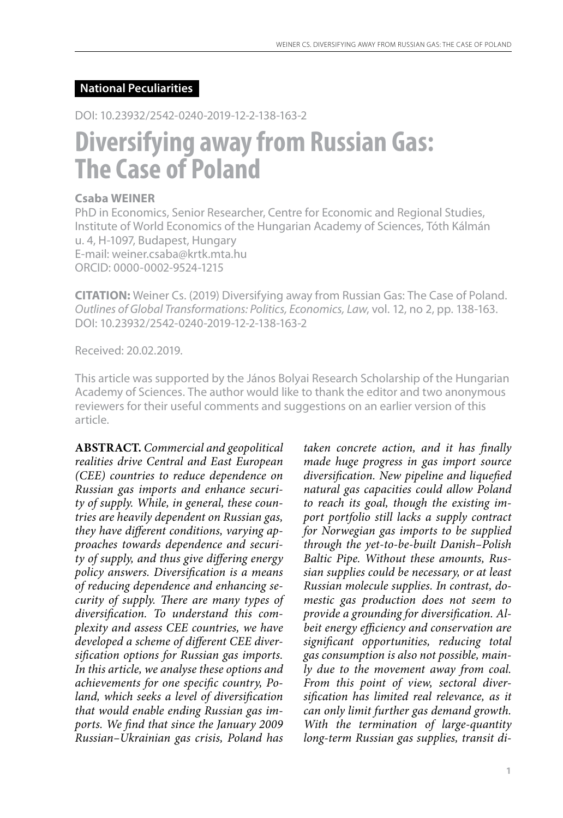## **National Peculiarities**

DOI: 10.23932/2542-0240-2019-12-2-138-163-2

# **Diversifying away from Russian Gas: The Case of Poland**

## **Csaba WEINER**

PhD in Economics, Senior Researcher, Centre for Economic and Regional Studies, Institute of World Economics of the Hungarian Academy of Sciences, Tóth Kálmán u. 4, H-1097, Budapest, Hungary E-mail: weiner.csaba@krtk.mta.hu ORCID: 0000-0002-9524-1215

**CITATION:** Weiner Cs. (2019) Diversifying away from Russian Gas: The Сase of Poland. *Outlines of Global Transformations: Politics, Economics, Law*, vol. 12, no 2, pp. 138-163. DOI: 10.23932/2542-0240-2019-12-2-138-163-2

Received: 20.02.2019.

This article was supported by the János Bolyai Research Scholarship of the Hungarian Academy of Sciences. The author would like to thank the editor and two anonymous reviewers for their useful comments and suggestions on an earlier version of this article.

**ABSTRACT.** *Commercial and geopolitical realities drive Central and East European (CEE) countries to reduce dependence on Russian gas imports and enhance security of supply. While, in general, these countries are heavily dependent on Russian gas, they have different conditions, varying approaches towards dependence and security of supply, and thus give differing energy policy answers. Diversification is a means of reducing dependence and enhancing security of supply. There are many types of diversification. To understand this complexity and assess CEE countries, we have developed a scheme of different CEE diversification options for Russian gas imports. In this article, we analyse these options and achievements for one specific country, Poland, which seeks a level of diversification that would enable ending Russian gas imports. We find that since the January 2009 Russian–Ukrainian gas crisis, Poland has* 

*taken concrete action, and it has finally made huge progress in gas import source diversification. New pipeline and liquefied natural gas capacities could allow Poland to reach its goal, though the existing import portfolio still lacks a supply contract for Norwegian gas imports to be supplied through the yet-to-be-built Danish–Polish Baltic Pipe. Without these amounts, Russian supplies could be necessary, or at least Russian molecule supplies. In contrast, domestic gas production does not seem to provide a grounding for diversification. Albeit energy efficiency and conservation are significant opportunities, reducing total gas consumption is also not possible, mainly due to the movement away from coal. From this point of view, sectoral diversification has limited real relevance, as it can only limit further gas demand growth. With the termination of large-quantity long-term Russian gas supplies, transit di-*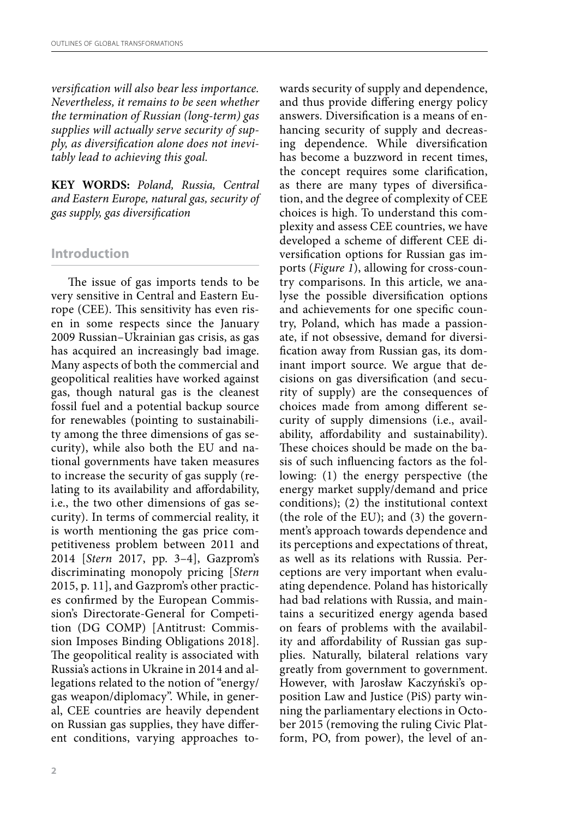*versification will also bear less importance. Nevertheless, it remains to be seen whether the termination of Russian (long-term) gas supplies will actually serve security of supply, as diversification alone does not inevitably lead to achieving this goal.*

**KEY WORDS:** *Poland, Russia, Central and Eastern Europe, natural gas, security of gas supply, gas diversification*

## **Introduction**

The issue of gas imports tends to be very sensitive in Central and Eastern Europe (CEE). This sensitivity has even risen in some respects since the January 2009 Russian–Ukrainian gas crisis, as gas has acquired an increasingly bad image. Many aspects of both the commercial and geopolitical realities have worked against gas, though natural gas is the cleanest fossil fuel and a potential backup source for renewables (pointing to sustainability among the three dimensions of gas security), while also both the EU and national governments have taken measures to increase the security of gas supply (relating to its availability and affordability, i.e., the two other dimensions of gas security). In terms of commercial reality, it is worth mentioning the gas price competitiveness problem between 2011 and 2014 [*Stern* 2017, pp. 3–4], Gazprom's discriminating monopoly pricing [*Stern* 2015, p. 11], and Gazprom's other practices confirmed by the European Commission's Directorate-General for Competition (DG COMP) [Antitrust: Commission Imposes Binding Obligations 2018]. The geopolitical reality is associated with Russia's actions in Ukraine in 2014 and allegations related to the notion of "energy/ gas weapon/diplomacy". While, in general, CEE countries are heavily dependent on Russian gas supplies, they have different conditions, varying approaches towards security of supply and dependence, and thus provide differing energy policy answers. Diversification is a means of enhancing security of supply and decreasing dependence. While diversification has become a buzzword in recent times, the concept requires some clarification, as there are many types of diversification, and the degree of complexity of CEE choices is high. To understand this complexity and assess CEE countries, we have developed a scheme of different CEE diversification options for Russian gas imports (*Figure 1*), allowing for cross-country comparisons. In this article, we analyse the possible diversification options and achievements for one specific country, Poland, which has made a passionate, if not obsessive, demand for diversification away from Russian gas, its dominant import source. We argue that decisions on gas diversification (and security of supply) are the consequences of choices made from among different security of supply dimensions (i.e., availability, affordability and sustainability). These choices should be made on the basis of such influencing factors as the following: (1) the energy perspective (the energy market supply/demand and price conditions); (2) the institutional context (the role of the EU); and (3) the government's approach towards dependence and its perceptions and expectations of threat, as well as its relations with Russia. Perceptions are very important when evaluating dependence. Poland has historically had bad relations with Russia, and maintains a securitized energy agenda based on fears of problems with the availability and affordability of Russian gas supplies. Naturally, bilateral relations vary greatly from government to government. However, with Jarosław Kaczyński's opposition Law and Justice (PiS) party winning the parliamentary elections in October 2015 (removing the ruling Civic Platform, PO, from power), the level of an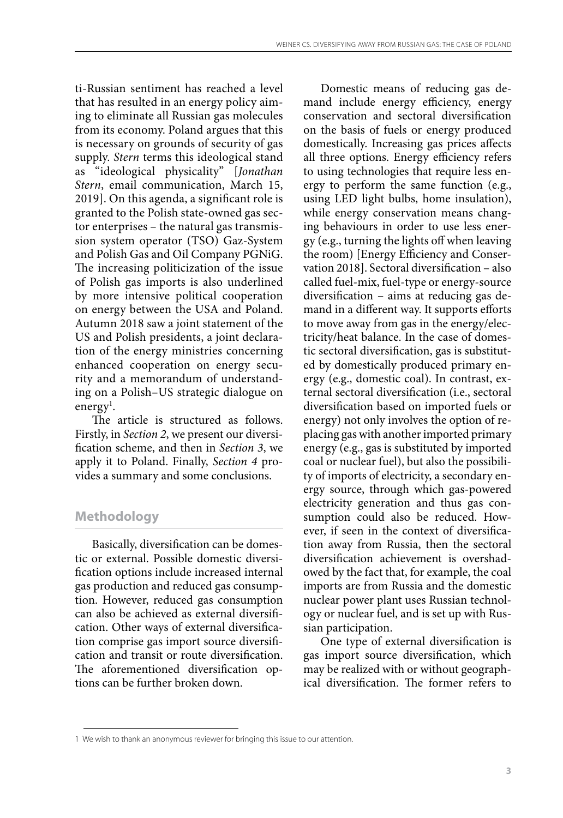ti-Russian sentiment has reached a level that has resulted in an energy policy aiming to eliminate all Russian gas molecules from its economy. Poland argues that this is necessary on grounds of security of gas supply. *Stern* terms this ideological stand as "ideological physicality" [*Jonathan Stern*, email communication, March 15, 2019]. On this agenda, a significant role is granted to the Polish state-owned gas sector enterprises – the natural gas transmission system operator (TSO) Gaz-System and Polish Gas and Oil Company PGNiG. The increasing politicization of the issue of Polish gas imports is also underlined by more intensive political cooperation on energy between the USA and Poland. Autumn 2018 saw a joint statement of the US and Polish presidents, a joint declaration of the energy ministries concerning enhanced cooperation on energy security and a memorandum of understanding on a Polish–US strategic dialogue on energy<sup>1</sup>.

The article is structured as follows. Firstly, in *Section 2*, we present our diversification scheme, and then in *Section 3*, we apply it to Poland. Finally, *Section 4* provides a summary and some conclusions.

## **Methodology**

Basically, diversification can be domestic or external. Possible domestic diversification options include increased internal gas production and reduced gas consumption. However, reduced gas consumption can also be achieved as external diversification. Other ways of external diversification comprise gas import source diversification and transit or route diversification. The aforementioned diversification options can be further broken down.

Domestic means of reducing gas demand include energy efficiency, energy conservation and sectoral diversification on the basis of fuels or energy produced domestically. Increasing gas prices affects all three options. Energy efficiency refers to using technologies that require less energy to perform the same function (e.g., using LED light bulbs, home insulation), while energy conservation means changing behaviours in order to use less energy (e.g., turning the lights off when leaving the room) [Energy Efficiency and Conservation 2018]. Sectoral diversification – also called fuel-mix, fuel-type or energy-source diversification – aims at reducing gas demand in a different way. It supports efforts to move away from gas in the energy/electricity/heat balance. In the case of domestic sectoral diversification, gas is substituted by domestically produced primary energy (e.g., domestic coal). In contrast, external sectoral diversification (i.e., sectoral diversification based on imported fuels or energy) not only involves the option of replacing gas with another imported primary energy (e.g., gas is substituted by imported coal or nuclear fuel), but also the possibility of imports of electricity, a secondary energy source, through which gas-powered electricity generation and thus gas consumption could also be reduced. However, if seen in the context of diversification away from Russia, then the sectoral diversification achievement is overshadowed by the fact that, for example, the coal imports are from Russia and the domestic nuclear power plant uses Russian technology or nuclear fuel, and is set up with Russian participation.

One type of external diversification is gas import source diversification, which may be realized with or without geographical diversification. The former refers to

<sup>1</sup> We wish to thank an anonymous reviewer for bringing this issue to our attention.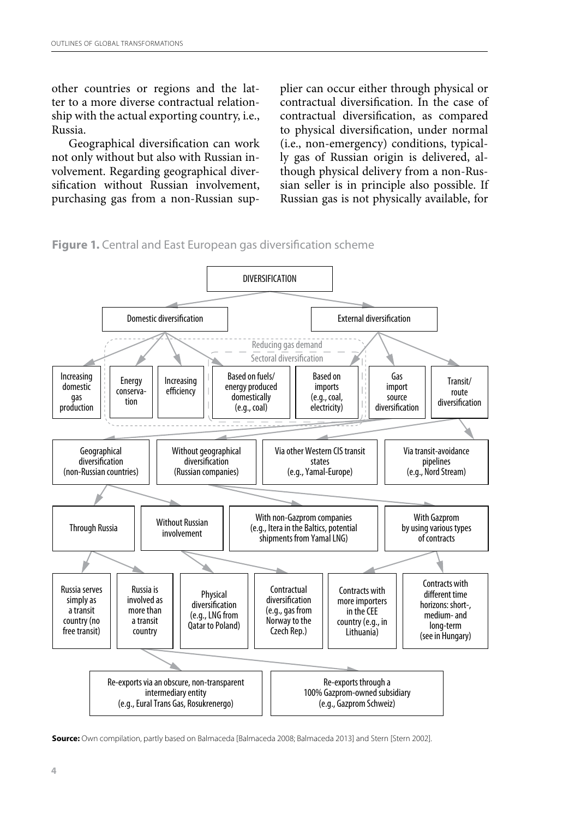other countries or regions and the latter to a more diverse contractual relationship with the actual exporting country, i.e., Russia.

Geographical diversification can work not only without but also with Russian involvement. Regarding geographical diversification without Russian involvement, purchasing gas from a non-Russian supplier can occur either through physical or contractual diversification. In the case of contractual diversification, as compared to physical diversification, under normal (i.e., non-emergency) conditions, typically gas of Russian origin is delivered, although physical delivery from a non-Russian seller is in principle also possible. If Russian gas is not physically available, for





**Source:** Own compilation, partly based on Balmaceda [Balmaceda 2008; Balmaceda 2013] and Stern [Stern 2002].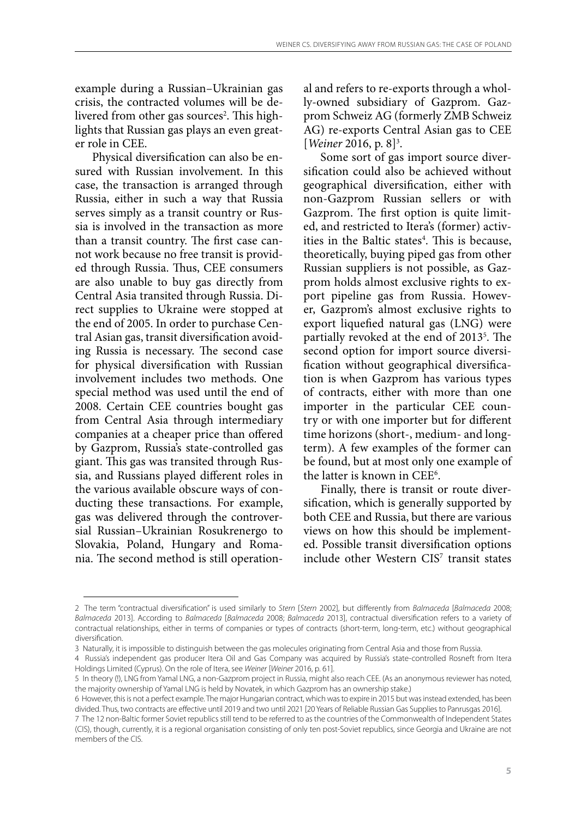example during a Russian–Ukrainian gas crisis, the contracted volumes will be delivered from other gas sources<sup>2</sup>. This highlights that Russian gas plays an even greater role in CEE.

Physical diversification can also be ensured with Russian involvement. In this case, the transaction is arranged through Russia, either in such a way that Russia serves simply as a transit country or Russia is involved in the transaction as more than a transit country. The first case cannot work because no free transit is provided through Russia. Thus, CEE consumers are also unable to buy gas directly from Central Asia transited through Russia. Direct supplies to Ukraine were stopped at the end of 2005. In order to purchase Central Asian gas, transit diversification avoiding Russia is necessary. The second case for physical diversification with Russian involvement includes two methods. One special method was used until the end of 2008. Certain CEE countries bought gas from Central Asia through intermediary companies at a cheaper price than offered by Gazprom, Russia's state-controlled gas giant. This gas was transited through Russia, and Russians played different roles in the various available obscure ways of conducting these transactions. For example, gas was delivered through the controversial Russian–Ukrainian Rosukrenergo to Slovakia, Poland, Hungary and Romania. The second method is still operational and refers to re-exports through a wholly-owned subsidiary of Gazprom. Gazprom Schweiz AG (formerly ZMB Schweiz AG) re-exports Central Asian gas to CEE [*Weiner* 2016, p. 8<sup>]3</sup>.

Some sort of gas import source diversification could also be achieved without geographical diversification, either with non-Gazprom Russian sellers or with Gazprom. The first option is quite limited, and restricted to Itera's (former) activities in the Baltic states<sup>4</sup>. This is because, theoretically, buying piped gas from other Russian suppliers is not possible, as Gazprom holds almost exclusive rights to export pipeline gas from Russia. However, Gazprom's almost exclusive rights to export liquefied natural gas (LNG) were partially revoked at the end of 2013<sup>5</sup>. The second option for import source diversification without geographical diversification is when Gazprom has various types of contracts, either with more than one importer in the particular CEE country or with one importer but for different time horizons (short-, medium- and longterm). A few examples of the former can be found, but at most only one example of the latter is known in CEE<sup>6</sup>.

Finally, there is transit or route diversification, which is generally supported by both CEE and Russia, but there are various views on how this should be implemented. Possible transit diversification options include other Western CIS<sup>7</sup> transit states

<sup>2</sup> The term "contractual diversification" is used similarly to *Stern* [*Stern* 2002], but differently from *Balmaceda* [*Balmaceda* 2008; *Balmaceda* 2013]. According to *Balmaceda* [*Balmaceda* 2008; *Balmaceda* 2013], contractual diversification refers to a variety of contractual relationships, either in terms of companies or types of contracts (short-term, long-term, etc.) without geographical diversification.

<sup>3</sup> Naturally, it is impossible to distinguish between the gas molecules originating from Central Asia and those from Russia.

<sup>4</sup> Russia's independent gas producer Itera Oil and Gas Company was acquired by Russia's state-controlled Rosneft from Itera Holdings Limited (Cyprus). On the role of Itera, see *Weiner* [*Weiner* 2016, p. 61].

<sup>5</sup> In theory (!), LNG from Yamal LNG, a non-Gazprom project in Russia, might also reach CEE. (As an anonymous reviewer has noted, the majority ownership of Yamal LNG is held by Novatek, in which Gazprom has an ownership stake.)

<sup>6</sup> However, this is not a perfect example. The major Hungarian contract, which was to expire in 2015 but was instead extended, has been divided. Thus, two contracts are effective until 2019 and two until 2021 [20 Years of Reliable Russian Gas Supplies to Panrusgas 2016].

<sup>7</sup> The 12 non-Baltic former Soviet republics still tend to be referred to as the countries of the Commonwealth of Independent States (CIS), though, currently, it is a regional organisation consisting of only ten post-Soviet republics, since Georgia and Ukraine are not members of the CIS.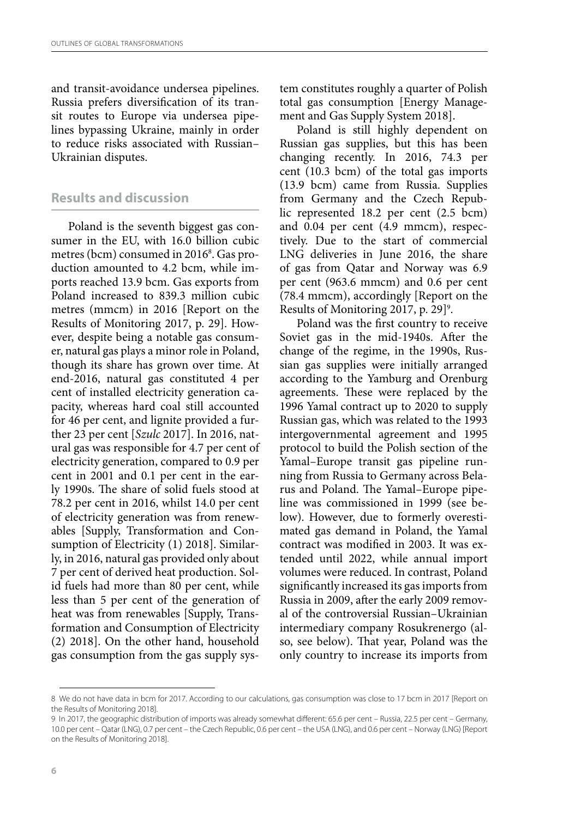and transit-avoidance undersea pipelines. Russia prefers diversification of its transit routes to Europe via undersea pipelines bypassing Ukraine, mainly in order to reduce risks associated with Russian– Ukrainian disputes.

## **Results and discussion**

Poland is the seventh biggest gas consumer in the EU, with 16.0 billion cubic metres (bcm) consumed in 20168 . Gas production amounted to 4.2 bcm, while imports reached 13.9 bcm. Gas exports from Poland increased to 839.3 million cubic metres (mmcm) in 2016 [Report on the Results of Monitoring 2017, p. 29]. However, despite being a notable gas consumer, natural gas plays a minor role in Poland, though its share has grown over time. At end-2016, natural gas constituted 4 per cent of installed electricity generation capacity, whereas hard coal still accounted for 46 per cent, and lignite provided a further 23 per cent [*Szulc* 2017]. In 2016, natural gas was responsible for 4.7 per cent of electricity generation, compared to 0.9 per cent in 2001 and 0.1 per cent in the early 1990s. The share of solid fuels stood at 78.2 per cent in 2016, whilst 14.0 per cent of electricity generation was from renewables [Supply, Transformation and Consumption of Electricity (1) 2018]. Similarly, in 2016, natural gas provided only about 7 per cent of derived heat production. Solid fuels had more than 80 per cent, while less than 5 per cent of the generation of heat was from renewables [Supply, Transformation and Consumption of Electricity (2) 2018]. On the other hand, household gas consumption from the gas supply system constitutes roughly a quarter of Polish total gas consumption [Energy Management and Gas Supply System 2018].

Poland is still highly dependent on Russian gas supplies, but this has been changing recently. In 2016, 74.3 per cent (10.3 bcm) of the total gas imports (13.9 bcm) came from Russia. Supplies from Germany and the Czech Republic represented 18.2 per cent (2.5 bcm) and 0.04 per cent (4.9 mmcm), respectively. Due to the start of commercial LNG deliveries in June 2016, the share of gas from Qatar and Norway was 6.9 per cent (963.6 mmcm) and 0.6 per cent (78.4 mmcm), accordingly [Report on the Results of Monitoring 2017, p. 29]<sup>9</sup>.

Poland was the first country to receive Soviet gas in the mid-1940s. After the change of the regime, in the 1990s, Russian gas supplies were initially arranged according to the Yamburg and Orenburg agreements. These were replaced by the 1996 Yamal contract up to 2020 to supply Russian gas, which was related to the 1993 intergovernmental agreement and 1995 protocol to build the Polish section of the Yamal–Europe transit gas pipeline running from Russia to Germany across Belarus and Poland. The Yamal–Europe pipeline was commissioned in 1999 (see below). However, due to formerly overestimated gas demand in Poland, the Yamal contract was modified in 2003. It was extended until 2022, while annual import volumes were reduced. In contrast, Poland significantly increased its gas imports from Russia in 2009, after the early 2009 removal of the controversial Russian–Ukrainian intermediary company Rosukrenergo (also, see below). That year, Poland was the only country to increase its imports from

<sup>8</sup> We do not have data in bcm for 2017. According to our calculations, gas consumption was close to 17 bcm in 2017 [Report on the Results of Monitoring 2018].

<sup>9</sup> In 2017, the geographic distribution of imports was already somewhat different: 65.6 per cent – Russia, 22.5 per cent – Germany, 10.0 per cent – Qatar (LNG), 0.7 per cent – the Czech Republic, 0.6 per cent – the USA (LNG), and 0.6 per cent – Norway (LNG) [Report on the Results of Monitoring 2018].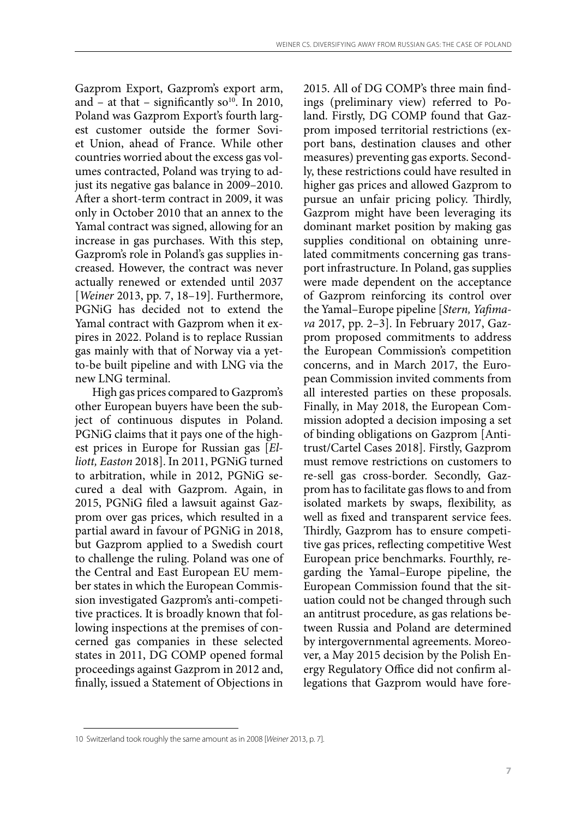Gazprom Export, Gazprom's export arm, and – at that – significantly so<sup>10</sup>. In 2010, Poland was Gazprom Export's fourth largest customer outside the former Soviet Union, ahead of France. While other countries worried about the excess gas volumes contracted, Poland was trying to adjust its negative gas balance in 2009–2010. After a short-term contract in 2009, it was only in October 2010 that an annex to the Yamal contract was signed, allowing for an increase in gas purchases. With this step, Gazprom's role in Poland's gas supplies increased. However, the contract was never actually renewed or extended until 2037 [*Weiner* 2013, pp. 7, 18–19]. Furthermore, PGNiG has decided not to extend the Yamal contract with Gazprom when it expires in 2022. Poland is to replace Russian gas mainly with that of Norway via a yetto-be built pipeline and with LNG via the new LNG terminal.

High gas prices compared to Gazprom's other European buyers have been the subject of continuous disputes in Poland. PGNiG claims that it pays one of the highest prices in Europe for Russian gas [*Elliott, Easton* 2018]. In 2011, PGNiG turned to arbitration, while in 2012, PGNiG secured a deal with Gazprom. Again, in 2015, PGNiG filed a lawsuit against Gazprom over gas prices, which resulted in a partial award in favour of PGNiG in 2018, but Gazprom applied to a Swedish court to challenge the ruling. Poland was one of the Central and East European EU member states in which the European Commission investigated Gazprom's anti-competitive practices. It is broadly known that following inspections at the premises of concerned gas companies in these selected states in 2011, DG COMP opened formal proceedings against Gazprom in 2012 and, finally, issued a Statement of Objections in

2015. All of DG COMP's three main findings (preliminary view) referred to Poland. Firstly, DG COMP found that Gazprom imposed territorial restrictions (export bans, destination clauses and other measures) preventing gas exports. Secondly, these restrictions could have resulted in higher gas prices and allowed Gazprom to pursue an unfair pricing policy. Thirdly, Gazprom might have been leveraging its dominant market position by making gas supplies conditional on obtaining unrelated commitments concerning gas transport infrastructure. In Poland, gas supplies were made dependent on the acceptance of Gazprom reinforcing its control over the Yamal–Europe pipeline [*Stern, Yafimava* 2017, pp. 2–3]. In February 2017, Gazprom proposed commitments to address the European Commission's competition concerns, and in March 2017, the European Commission invited comments from all interested parties on these proposals. Finally, in May 2018, the European Commission adopted a decision imposing a set of binding obligations on Gazprom [Antitrust/Cartel Cases 2018]. Firstly, Gazprom must remove restrictions on customers to re-sell gas cross-border. Secondly, Gazprom has to facilitate gas flows to and from isolated markets by swaps, flexibility, as well as fixed and transparent service fees. Thirdly, Gazprom has to ensure competitive gas prices, reflecting competitive West European price benchmarks. Fourthly, regarding the Yamal–Europe pipeline, the European Commission found that the situation could not be changed through such an antitrust procedure, as gas relations between Russia and Poland are determined by intergovernmental agreements. Moreover, a May 2015 decision by the Polish Energy Regulatory Office did not confirm allegations that Gazprom would have fore-

<sup>10</sup> Switzerland took roughly the same amount as in 2008 [*Weiner* 2013, p. 7].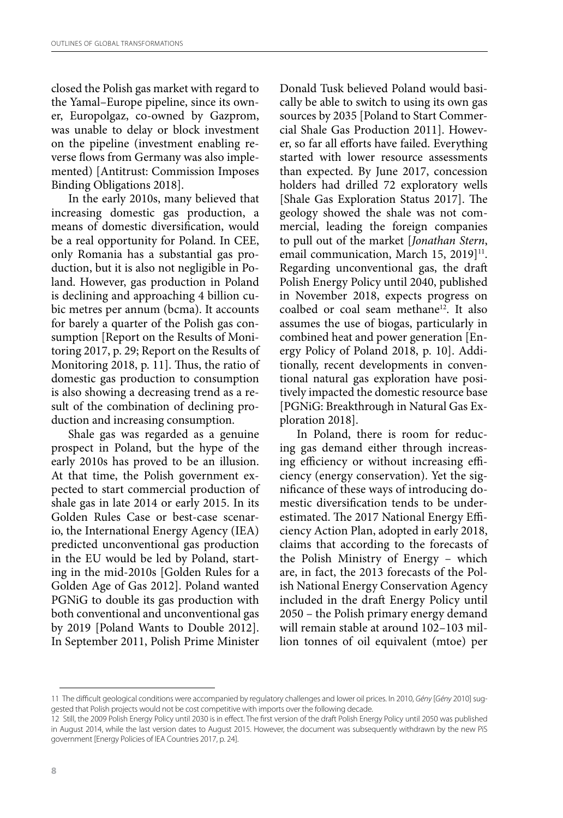closed the Polish gas market with regard to the Yamal–Europe pipeline, since its owner, Europolgaz, co-owned by Gazprom, was unable to delay or block investment on the pipeline (investment enabling reverse flows from Germany was also implemented) [Antitrust: Commission Imposes Binding Obligations 2018].

In the early 2010s, many believed that increasing domestic gas production, a means of domestic diversification, would be a real opportunity for Poland. In CEE, only Romania has a substantial gas production, but it is also not negligible in Poland. However, gas production in Poland is declining and approaching 4 billion cubic metres per annum (bcma). It accounts for barely a quarter of the Polish gas consumption [Report on the Results of Monitoring 2017, p. 29; Report on the Results of Monitoring 2018, p. 11]. Thus, the ratio of domestic gas production to consumption is also showing a decreasing trend as a result of the combination of declining production and increasing consumption.

Shale gas was regarded as a genuine prospect in Poland, but the hype of the early 2010s has proved to be an illusion. At that time, the Polish government expected to start commercial production of shale gas in late 2014 or early 2015. In its Golden Rules Case or best-case scenario, the International Energy Agency (IEA) predicted unconventional gas production in the EU would be led by Poland, starting in the mid-2010s [Golden Rules for a Golden Age of Gas 2012]. Poland wanted PGNiG to double its gas production with both conventional and unconventional gas by 2019 [Poland Wants to Double 2012]. In September 2011, Polish Prime Minister Donald Tusk believed Poland would basically be able to switch to using its own gas sources by 2035 [Poland to Start Commercial Shale Gas Production 2011]. However, so far all efforts have failed. Everything started with lower resource assessments than expected. By June 2017, concession holders had drilled 72 exploratory wells [Shale Gas Exploration Status 2017]. The geology showed the shale was not commercial, leading the foreign companies to pull out of the market [*Jonathan Stern*, email communication, March 15, 2019]<sup>11</sup>. Regarding unconventional gas, the draft Polish Energy Policy until 2040, published in November 2018, expects progress on coalbed or coal seam methane<sup>12</sup>. It also assumes the use of biogas, particularly in combined heat and power generation [Energy Policy of Poland 2018, p. 10]. Additionally, recent developments in conventional natural gas exploration have positively impacted the domestic resource base [PGNiG: Breakthrough in Natural Gas Exploration 2018].

In Poland, there is room for reducing gas demand either through increasing efficiency or without increasing efficiency (energy conservation). Yet the significance of these ways of introducing domestic diversification tends to be underestimated. The 2017 National Energy Efficiency Action Plan, adopted in early 2018, claims that according to the forecasts of the Polish Ministry of Energy – which are, in fact, the 2013 forecasts of the Polish National Energy Conservation Agency included in the draft Energy Policy until 2050 – the Polish primary energy demand will remain stable at around 102–103 million tonnes of oil equivalent (mtoe) per

<sup>11</sup> The difficult geological conditions were accompanied by regulatory challenges and lower oil prices. In 2010, *Gény* [*Gény* 2010] suggested that Polish projects would not be cost competitive with imports over the following decade.

<sup>12</sup> Still, the 2009 Polish Energy Policy until 2030 is in effect. The first version of the draft Polish Energy Policy until 2050 was published in August 2014, while the last version dates to August 2015. However, the document was subsequently withdrawn by the new PiS government [Energy Policies of IEA Countries 2017, p. 24].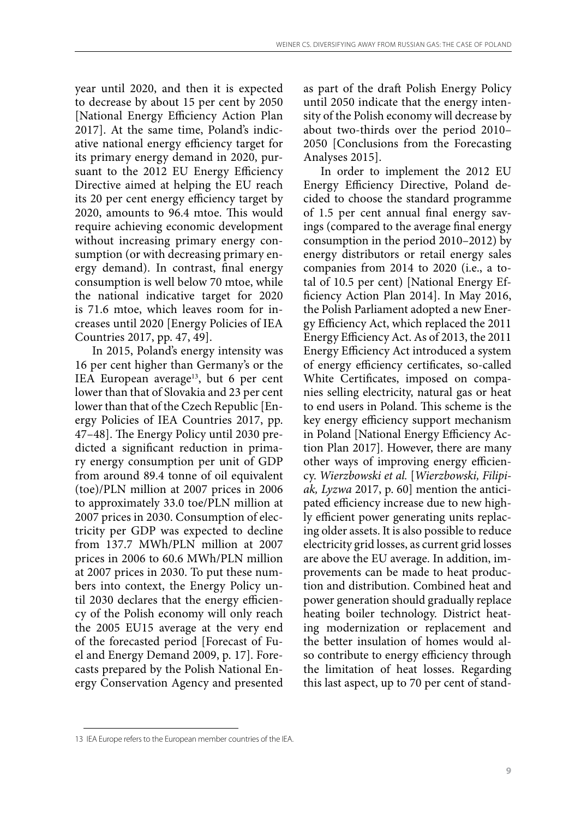year until 2020, and then it is expected to decrease by about 15 per cent by 2050 [National Energy Efficiency Action Plan 2017]. At the same time, Poland's indicative national energy efficiency target for its primary energy demand in 2020, pursuant to the 2012 EU Energy Efficiency Directive aimed at helping the EU reach its 20 per cent energy efficiency target by 2020, amounts to 96.4 mtoe. This would require achieving economic development without increasing primary energy consumption (or with decreasing primary energy demand). In contrast, final energy consumption is well below 70 mtoe, while the national indicative target for 2020 is 71.6 mtoe, which leaves room for increases until 2020 [Energy Policies of IEA Countries 2017, pp. 47, 49].

In 2015, Poland's energy intensity was 16 per cent higher than Germany's or the IEA European average<sup>13</sup>, but 6 per cent lower than that of Slovakia and 23 per cent lower than that of the Czech Republic [Energy Policies of IEA Countries 2017, pp. 47–48]. The Energy Policy until 2030 predicted a significant reduction in primary energy consumption per unit of GDP from around 89.4 tonne of oil equivalent (toe)/PLN million at 2007 prices in 2006 to approximately 33.0 toe/PLN million at 2007 prices in 2030. Consumption of electricity per GDP was expected to decline from 137.7 MWh/PLN million at 2007 prices in 2006 to 60.6 MWh/PLN million at 2007 prices in 2030. To put these numbers into context, the Energy Policy until 2030 declares that the energy efficiency of the Polish economy will only reach the 2005 EU15 average at the very end of the forecasted period [Forecast of Fuel and Energy Demand 2009, p. 17]. Forecasts prepared by the Polish National Energy Conservation Agency and presented

as part of the draft Polish Energy Policy until 2050 indicate that the energy intensity of the Polish economy will decrease by about two-thirds over the period 2010– 2050 [Conclusions from the Forecasting Analyses 2015].

In order to implement the 2012 EU Energy Efficiency Directive, Poland decided to choose the standard programme of 1.5 per cent annual final energy savings (compared to the average final energy consumption in the period 2010–2012) by energy distributors or retail energy sales companies from 2014 to 2020 (i.e., a total of 10.5 per cent) [National Energy Efficiency Action Plan 2014]. In May 2016, the Polish Parliament adopted a new Energy Efficiency Act, which replaced the 2011 Energy Efficiency Act. As of 2013, the 2011 Energy Efficiency Act introduced a system of energy efficiency certificates, so-called White Certificates, imposed on companies selling electricity, natural gas or heat to end users in Poland. This scheme is the key energy efficiency support mechanism in Poland [National Energy Efficiency Action Plan 2017]. However, there are many other ways of improving energy efficiency. *Wierzbowski et al.* [*Wierzbowski, Filipiak, Lyzwa* 2017, p. 60] mention the anticipated efficiency increase due to new highly efficient power generating units replacing older assets. It is also possible to reduce electricity grid losses, as current grid losses are above the EU average. In addition, improvements can be made to heat production and distribution. Combined heat and power generation should gradually replace heating boiler technology. District heating modernization or replacement and the better insulation of homes would also contribute to energy efficiency through the limitation of heat losses. Regarding this last aspect, up to 70 per cent of stand-

<sup>13</sup> IEA Europe refers to the European member countries of the IEA.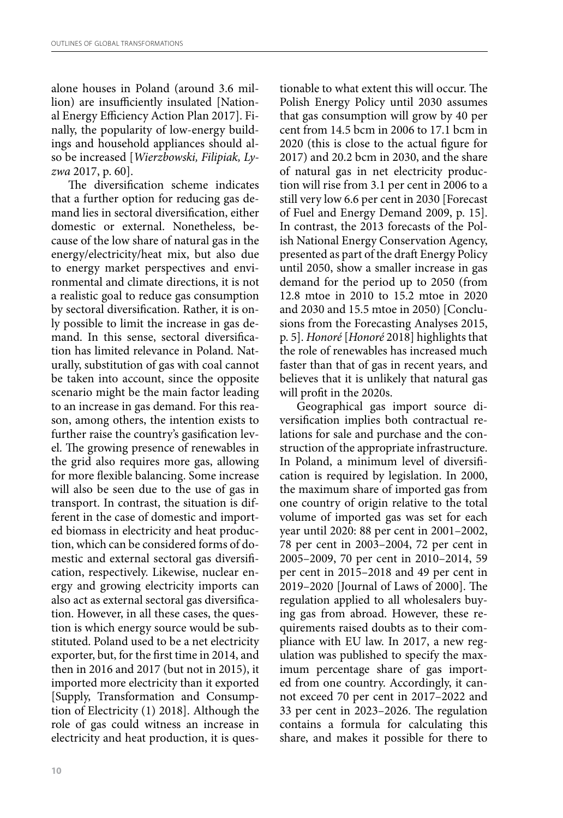alone houses in Poland (around 3.6 million) are insufficiently insulated [National Energy Efficiency Action Plan 2017]. Finally, the popularity of low-energy buildings and household appliances should also be increased [*Wierzbowski, Filipiak, Lyzwa* 2017, p. 60].

The diversification scheme indicates that a further option for reducing gas demand lies in sectoral diversification, either domestic or external. Nonetheless, because of the low share of natural gas in the energy/electricity/heat mix, but also due to energy market perspectives and environmental and climate directions, it is not a realistic goal to reduce gas consumption by sectoral diversification. Rather, it is only possible to limit the increase in gas demand. In this sense, sectoral diversification has limited relevance in Poland. Naturally, substitution of gas with coal cannot be taken into account, since the opposite scenario might be the main factor leading to an increase in gas demand. For this reason, among others, the intention exists to further raise the country's gasification level. The growing presence of renewables in the grid also requires more gas, allowing for more flexible balancing. Some increase will also be seen due to the use of gas in transport. In contrast, the situation is different in the case of domestic and imported biomass in electricity and heat production, which can be considered forms of domestic and external sectoral gas diversification, respectively. Likewise, nuclear energy and growing electricity imports can also act as external sectoral gas diversification. However, in all these cases, the question is which energy source would be substituted. Poland used to be a net electricity exporter, but, for the first time in 2014, and then in 2016 and 2017 (but not in 2015), it imported more electricity than it exported [Supply, Transformation and Consumption of Electricity (1) 2018]. Although the role of gas could witness an increase in electricity and heat production, it is questionable to what extent this will occur. The Polish Energy Policy until 2030 assumes that gas consumption will grow by 40 per cent from 14.5 bcm in 2006 to 17.1 bcm in 2020 (this is close to the actual figure for 2017) and 20.2 bcm in 2030, and the share of natural gas in net electricity production will rise from 3.1 per cent in 2006 to a still very low 6.6 per cent in 2030 [Forecast of Fuel and Energy Demand 2009, p. 15]. In contrast, the 2013 forecasts of the Polish National Energy Conservation Agency, presented as part of the draft Energy Policy until 2050, show a smaller increase in gas demand for the period up to 2050 (from 12.8 mtoe in 2010 to 15.2 mtoe in 2020 and 2030 and 15.5 mtoe in 2050) [Conclusions from the Forecasting Analyses 2015, p. 5]. *Honoré* [*Honoré* 2018] highlights that the role of renewables has increased much faster than that of gas in recent years, and believes that it is unlikely that natural gas will profit in the 2020s.

Geographical gas import source diversification implies both contractual relations for sale and purchase and the construction of the appropriate infrastructure. In Poland, a minimum level of diversification is required by legislation. In 2000, the maximum share of imported gas from one country of origin relative to the total volume of imported gas was set for each year until 2020: 88 per cent in 2001–2002, 78 per cent in 2003–2004, 72 per cent in 2005–2009, 70 per cent in 2010–2014, 59 per cent in 2015–2018 and 49 per cent in 2019–2020 [Journal of Laws of 2000]. The regulation applied to all wholesalers buying gas from abroad. However, these requirements raised doubts as to their compliance with EU law. In 2017, a new regulation was published to specify the maximum percentage share of gas imported from one country. Accordingly, it cannot exceed 70 per cent in 2017–2022 and 33 per cent in 2023–2026. The regulation contains a formula for calculating this share, and makes it possible for there to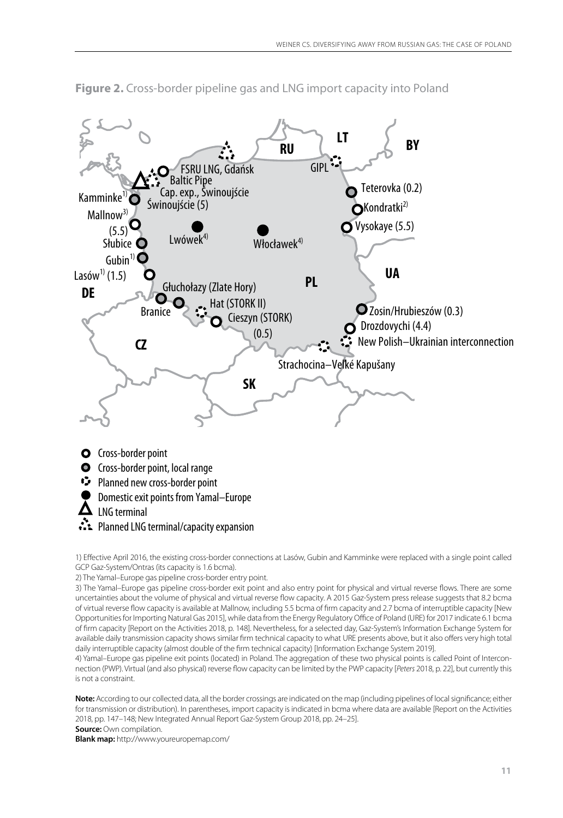

**Figure 2.** Cross-border pipeline gas and LNG import capacity into Poland

1) Effective April 2016, the existing cross-border connections at Lasów, Gubin and Kamminke were replaced with a single point called GCP Gaz-System/Ontras (its capacity is 1.6 bcma).

2) The Yamal–Europe gas pipeline cross-border entry point.

3) The Yamal–Europe gas pipeline cross-border exit point and also entry point for physical and virtual reverse flows. There are some uncertainties about the volume of physical and virtual reverse flow capacity. A 2015 Gaz-System press release suggests that 8.2 bcma of virtual reverse flow capacity is available at Mallnow, including 5.5 bcma of firm capacity and 2.7 bcma of interruptible capacity [New Opportunities for Importing Natural Gas 2015], while data from the Energy Regulatory Office of Poland (URE) for 2017 indicate 6.1 bcma of firm capacity [Report on the Activities 2018, p. 148]. Nevertheless, for a selected day, Gaz-System's Information Exchange System for available daily transmission capacity shows similar firm technical capacity to what URE presents above, but it also offers very high total daily interruptible capacity (almost double of the firm technical capacity) [Information Exchange System 2019].

4) Yamal–Europe gas pipeline exit points (located) in Poland. The aggregation of these two physical points is called Point of Interconnection (PWP). Virtual (and also physical) reverse flow capacity can be limited by the PWP capacity [*Peters* 2018, p. 22], but currently this is not a constraint.

**Note:** According to our collected data, all the border crossings are indicated on the map (including pipelines of local significance; either for transmission or distribution). In parentheses, import capacity is indicated in bcma where data are available [Report on the Activities 2018, pp. 147–148; New Integrated Annual Report Gaz-System Group 2018, pp. 24–25].

**Source:** Own compilation.

**Blank map:** http://www.youreuropemap.com/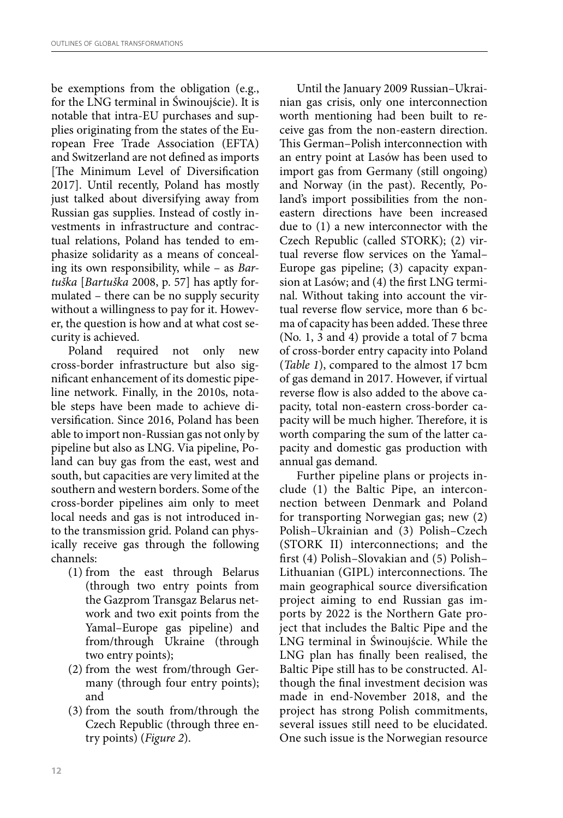be exemptions from the obligation (e.g., for the LNG terminal in Świnoujście). It is notable that intra-EU purchases and supplies originating from the states of the European Free Trade Association (EFTA) and Switzerland are not defined as imports [The Minimum Level of Diversification 2017]. Until recently, Poland has mostly just talked about diversifying away from Russian gas supplies. Instead of costly investments in infrastructure and contractual relations, Poland has tended to emphasize solidarity as a means of concealing its own responsibility, while – as *Bartuška* [*Bartuška* 2008, p. 57] has aptly formulated – there can be no supply security without a willingness to pay for it. However, the question is how and at what cost security is achieved.

Poland required not only new cross-border infrastructure but also significant enhancement of its domestic pipeline network. Finally, in the 2010s, notable steps have been made to achieve diversification. Since 2016, Poland has been able to import non-Russian gas not only by pipeline but also as LNG. Via pipeline, Poland can buy gas from the east, west and south, but capacities are very limited at the southern and western borders. Some of the cross-border pipelines aim only to meet local needs and gas is not introduced into the transmission grid. Poland can physically receive gas through the following channels:

- (1) from the east through Belarus (through two entry points from the Gazprom Transgaz Belarus network and two exit points from the Yamal–Europe gas pipeline) and from/through Ukraine (through two entry points);
- (2) from the west from/through Germany (through four entry points); and
- (3) from the south from/through the Czech Republic (through three entry points) (*Figure 2*).

Until the January 2009 Russian–Ukrainian gas crisis, only one interconnection worth mentioning had been built to receive gas from the non-eastern direction. This German–Polish interconnection with an entry point at Lasów has been used to import gas from Germany (still ongoing) and Norway (in the past). Recently, Poland's import possibilities from the noneastern directions have been increased due to (1) a new interconnector with the Czech Republic (called STORK); (2) virtual reverse flow services on the Yamal– Europe gas pipeline; (3) capacity expansion at Lasów; and (4) the first LNG terminal. Without taking into account the virtual reverse flow service, more than 6 bcma of capacity has been added. These three (No. 1, 3 and 4) provide a total of 7 bcma of cross-border entry capacity into Poland (*Table 1*), compared to the almost 17 bcm of gas demand in 2017. However, if virtual reverse flow is also added to the above capacity, total non-eastern cross-border capacity will be much higher. Therefore, it is worth comparing the sum of the latter capacity and domestic gas production with annual gas demand.

Further pipeline plans or projects include (1) the Baltic Pipe, an interconnection between Denmark and Poland for transporting Norwegian gas; new (2) Polish–Ukrainian and (3) Polish–Czech (STORK II) interconnections; and the first (4) Polish–Slovakian and (5) Polish– Lithuanian (GIPL) interconnections. The main geographical source diversification project aiming to end Russian gas imports by 2022 is the Northern Gate project that includes the Baltic Pipe and the LNG terminal in Świnoujście. While the LNG plan has finally been realised, the Baltic Pipe still has to be constructed. Although the final investment decision was made in end-November 2018, and the project has strong Polish commitments, several issues still need to be elucidated. One such issue is the Norwegian resource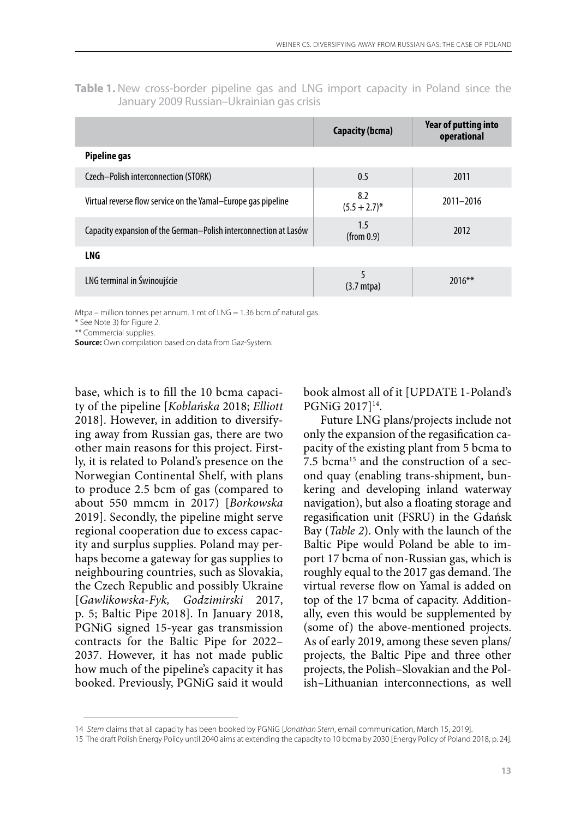Table 1. New cross-border pipeline gas and LNG import capacity in Poland since the January 2009 Russian–Ukrainian gas crisis

|                                                                  | Capacity (bcma)        | Year of putting into<br>operational |
|------------------------------------------------------------------|------------------------|-------------------------------------|
| Pipeline gas                                                     |                        |                                     |
| Czech-Polish interconnection (STORK)                             | 0.5                    | 2011                                |
| Virtual reverse flow service on the Yamal–Europe gas pipeline    | 8.2<br>$(5.5 + 2.7)^*$ | 2011-2016                           |
| Capacity expansion of the German–Polish interconnection at Lasów | 1.5<br>(from 0.9)      | 2012                                |
| LNG                                                              |                        |                                     |
| LNG terminal in Świnoujście                                      | $(3.7 \text{ mtpa})$   | $2016***$                           |

Mtpa – million tonnes per annum. 1 mt of LNG = 1.36 bcm of natural gas.

\* See Note 3) for Figure 2.

\*\* Commercial supplies.

**Source:** Own compilation based on data from Gaz-System.

base, which is to fill the 10 bcma capacity of the pipeline [*Koblańska* 2018; *Elliott* 2018]. However, in addition to diversifying away from Russian gas, there are two other main reasons for this project. Firstly, it is related to Poland's presence on the Norwegian Continental Shelf, with plans to produce 2.5 bcm of gas (compared to about 550 mmcm in 2017) [*Borkowska* 2019]. Secondly, the pipeline might serve regional cooperation due to excess capacity and surplus supplies. Poland may perhaps become a gateway for gas supplies to neighbouring countries, such as Slovakia, the Czech Republic and possibly Ukraine<br>[Gawlikowska-Fyk, Godzimirski 2017, [*Gawlikowska-Fyk, Godzimirski* 2017, p. 5; Baltic Pipe 2018]. In January 2018, PGNiG signed 15-year gas transmission contracts for the Baltic Pipe for 2022– 2037. However, it has not made public how much of the pipeline's capacity it has booked. Previously, PGNiG said it would book almost all of it [UPDATE 1-Poland's PGNiG 2017]<sup>14</sup>.

Future LNG plans/projects include not only the expansion of the regasification capacity of the existing plant from 5 bcma to 7.5 bcma<sup>15</sup> and the construction of a second quay (enabling trans-shipment, bunkering and developing inland waterway navigation), but also a floating storage and regasification unit (FSRU) in the Gdańsk Bay (*Table 2*). Only with the launch of the Baltic Pipe would Poland be able to import 17 bcma of non-Russian gas, which is roughly equal to the 2017 gas demand. The virtual reverse flow on Yamal is added on top of the 17 bcma of capacity. Additionally, even this would be supplemented by (some of) the above-mentioned projects. As of early 2019, among these seven plans/ projects, the Baltic Pipe and three other projects, the Polish–Slovakian and the Polish–Lithuanian interconnections, as well

<sup>14</sup> *Stern* claims that all capacity has been booked by PGNiG [*Jonathan Stern*, email communication, March 15, 2019].

<sup>15</sup> The draft Polish Energy Policy until 2040 aims at extending the capacity to 10 bcma by 2030 [Energy Policy of Poland 2018, p. 24].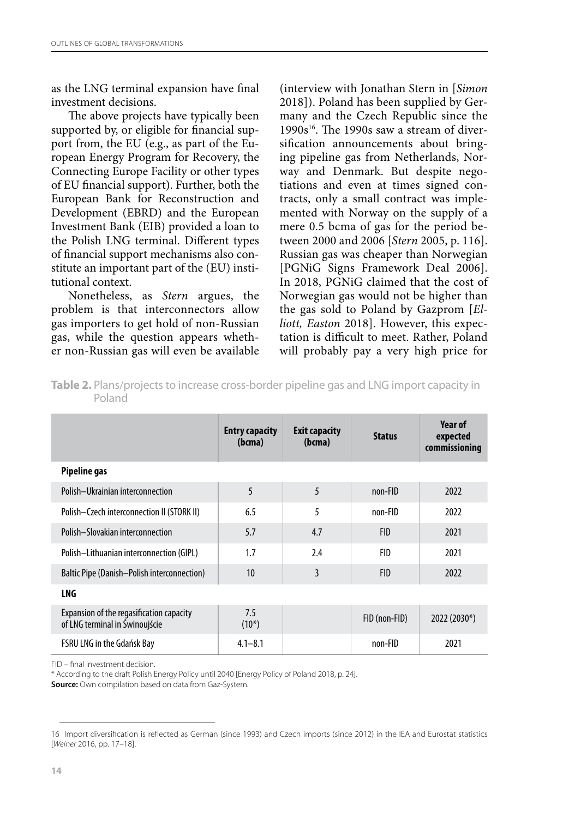as the LNG terminal expansion have final investment decisions.

The above projects have typically been supported by, or eligible for financial support from, the EU (e.g., as part of the European Energy Program for Recovery, the Connecting Europe Facility or other types of EU financial support). Further, both the European Bank for Reconstruction and Development (EBRD) and the European Investment Bank (EIB) provided a loan to the Polish LNG terminal. Different types of financial support mechanisms also constitute an important part of the (EU) institutional context.

Nonetheless, as *Stern* argues, the problem is that interconnectors allow gas importers to get hold of non-Russian gas, while the question appears whether non-Russian gas will even be available (interview with Jonathan Stern in [*Simon* 2018]). Poland has been supplied by Germany and the Czech Republic since the  $1990s^{16}$ . The 1990s saw a stream of diversification announcements about bringing pipeline gas from Netherlands, Norway and Denmark. But despite negotiations and even at times signed contracts, only a small contract was implemented with Norway on the supply of a mere 0.5 bcma of gas for the period between 2000 and 2006 [*Stern* 2005, p. 116]. Russian gas was cheaper than Norwegian [PGNiG Signs Framework Deal 2006]. In 2018, PGNiG claimed that the cost of Norwegian gas would not be higher than the gas sold to Poland by Gazprom [*Elliott, Easton* 2018]. However, this expectation is difficult to meet. Rather, Poland will probably pay a very high price for

|                                                                            | <b>Entry capacity</b><br>(bcma) | <b>Exit capacity</b><br>(bcma) | <b>Status</b> | Year of<br>expected<br>commissioning |
|----------------------------------------------------------------------------|---------------------------------|--------------------------------|---------------|--------------------------------------|
| Pipeline gas                                                               |                                 |                                |               |                                      |
| Polish-Ukrainian interconnection                                           | 5                               | 5                              | non-FID       | 2022                                 |
| Polish-Czech interconnection II (STORK II)                                 | 6.5                             | 5                              | non-FID       | 2022                                 |
| Polish-Slovakian interconnection                                           | 5.7                             | 4.7                            | <b>FID</b>    | 2021                                 |
| Polish-Lithuanian interconnection (GIPL)                                   | 1.7                             | 2.4                            | <b>FID</b>    | 2021                                 |
| <b>Baltic Pipe (Danish-Polish interconnection)</b>                         | 10                              | 3                              | <b>FID</b>    | 2022                                 |
| LNG                                                                        |                                 |                                |               |                                      |
| Expansion of the regasification capacity<br>of LNG terminal in Świnoujście | 7.5<br>$(10^*)$                 |                                | FID (non-FID) | 2022 (2030*)                         |
| FSRU LNG in the Gdańsk Bay                                                 | $4.1 - 8.1$                     |                                | non-FID       | 2021                                 |

**Table 2.** Plans/projects to increase cross-border pipeline gas and LNG import capacity in Poland

FID – final investment decision.

\* According to the draft Polish Energy Policy until 2040 [Energy Policy of Poland 2018, p. 24].

**Source:** Own compilation based on data from Gaz-System.

<sup>16</sup> Import diversification is reflected as German (since 1993) and Czech imports (since 2012) in the IEA and Eurostat statistics [*Weiner* 2016, pp. 17–18].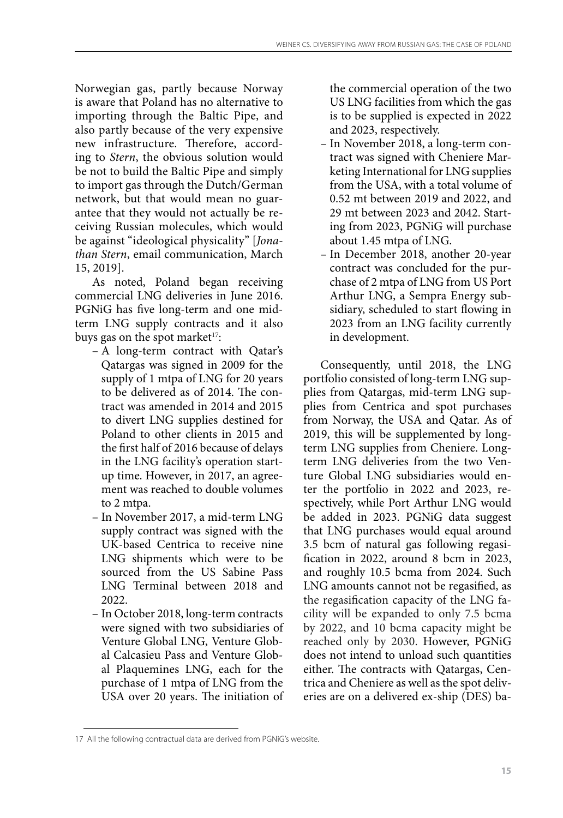Norwegian gas, partly because Norway is aware that Poland has no alternative to importing through the Baltic Pipe, and also partly because of the very expensive new infrastructure. Therefore, according to *Stern*, the obvious solution would be not to build the Baltic Pipe and simply to import gas through the Dutch/German network, but that would mean no guarantee that they would not actually be receiving Russian molecules, which would be against "ideological physicality" [*Jonathan Stern*, email communication, March 15, 2019].

As noted, Poland began receiving commercial LNG deliveries in June 2016. PGNiG has five long-term and one midterm LNG supply contracts and it also buys gas on the spot market<sup>17</sup>:

- A long-term contract with Qatar's Qatargas was signed in 2009 for the supply of 1 mtpa of LNG for 20 years to be delivered as of 2014. The contract was amended in 2014 and 2015 to divert LNG supplies destined for Poland to other clients in 2015 and the first half of 2016 because of delays in the LNG facility's operation startup time. However, in 2017, an agreement was reached to double volumes to 2 mtpa.
- In November 2017, a mid-term LNG supply contract was signed with the UK-based Centrica to receive nine LNG shipments which were to be sourced from the US Sabine Pass LNG Terminal between 2018 and 2022.
- In October 2018, long-term contracts were signed with two subsidiaries of Venture Global LNG, Venture Global Calcasieu Pass and Venture Global Plaquemines LNG, each for the purchase of 1 mtpa of LNG from the USA over 20 years. The initiation of

the commercial operation of the two US LNG facilities from which the gas is to be supplied is expected in 2022 and 2023, respectively.

- In November 2018, a long-term contract was signed with Cheniere Marketing International for LNG supplies from the USA, with a total volume of 0.52 mt between 2019 and 2022, and 29 mt between 2023 and 2042. Starting from 2023, PGNiG will purchase about 1.45 mtpa of LNG.
- In December 2018, another 20-year contract was concluded for the purchase of 2 mtpa of LNG from US Port Arthur LNG, a Sempra Energy subsidiary, scheduled to start flowing in 2023 from an LNG facility currently in development.

Consequently, until 2018, the LNG portfolio consisted of long-term LNG supplies from Qatargas, mid-term LNG supplies from Centrica and spot purchases from Norway, the USA and Qatar. As of 2019, this will be supplemented by longterm LNG supplies from Cheniere. Longterm LNG deliveries from the two Venture Global LNG subsidiaries would enter the portfolio in 2022 and 2023, respectively, while Port Arthur LNG would be added in 2023. PGNiG data suggest that LNG purchases would equal around 3.5 bcm of natural gas following regasification in 2022, around 8 bcm in 2023, and roughly 10.5 bcma from 2024. Such LNG amounts cannot not be regasified, as the regasification capacity of the LNG facility will be expanded to only 7.5 bcma by 2022, and 10 bcma capacity might be reached only by 2030. However, PGNiG does not intend to unload such quantities either. The contracts with Qatargas, Centrica and Cheniere as well as the spot deliveries are on a delivered ex-ship (DES) ba-

<sup>17</sup> All the following contractual data are derived from PGNiG's website.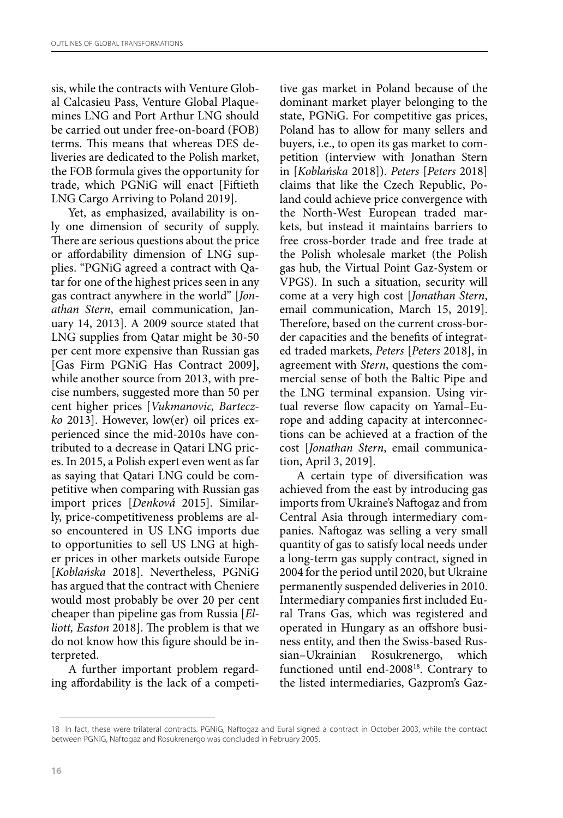sis, while the contracts with Venture Global Calcasieu Pass, Venture Global Plaquemines LNG and Port Arthur LNG should be carried out under free-on-board (FOB) terms. This means that whereas DES deliveries are dedicated to the Polish market, the FOB formula gives the opportunity for trade, which PGNiG will enact [Fiftieth LNG Cargo Arriving to Poland 2019].

Yet, as emphasized, availability is only one dimension of security of supply. There are serious questions about the price or affordability dimension of LNG supplies. "PGNiG agreed a contract with Qatar for one of the highest prices seen in any gas contract anywhere in the world" [*Jonathan Stern*, email communication, January 14, 2013]. A 2009 source stated that LNG supplies from Qatar might be 30-50 per cent more expensive than Russian gas [Gas Firm PGNiG Has Contract 2009], while another source from 2013, with precise numbers, suggested more than 50 per cent higher prices [*Vukmanovic, Barteczko* 2013]. However, low(er) oil prices experienced since the mid-2010s have contributed to a decrease in Qatari LNG prices. In 2015, a Polish expert even went as far as saying that Qatari LNG could be competitive when comparing with Russian gas import prices [*Denková* 2015]. Similarly, price-competitiveness problems are also encountered in US LNG imports due to opportunities to sell US LNG at higher prices in other markets outside Europe [*Koblańska* 2018]. Nevertheless, PGNiG has argued that the contract with Cheniere would most probably be over 20 per cent cheaper than pipeline gas from Russia [*Elliott, Easton* 2018]. The problem is that we do not know how this figure should be interpreted.

A further important problem regarding affordability is the lack of a competitive gas market in Poland because of the dominant market player belonging to the state, PGNiG. For competitive gas prices, Poland has to allow for many sellers and buyers, i.e., to open its gas market to competition (interview with Jonathan Stern in [*Koblańska* 2018]). *Peters* [*Peters* 2018] claims that like the Czech Republic, Poland could achieve price convergence with the North-West European traded markets, but instead it maintains barriers to free cross-border trade and free trade at the Polish wholesale market (the Polish gas hub, the Virtual Point Gaz-System or VPGS). In such a situation, security will come at a very high cost [*Jonathan Stern*, email communication, March 15, 2019]. Therefore, based on the current cross-border capacities and the benefits of integrated traded markets, *Peters* [*Peters* 2018], in agreement with *Stern*, questions the commercial sense of both the Baltic Pipe and the LNG terminal expansion. Using virtual reverse flow capacity on Yamal–Europe and adding capacity at interconnections can be achieved at a fraction of the cost [*Jonathan Stern*, email communication, April 3, 2019].

A certain type of diversification was achieved from the east by introducing gas imports from Ukraine's Naftogaz and from Central Asia through intermediary companies. Naftogaz was selling a very small quantity of gas to satisfy local needs under a long-term gas supply contract, signed in 2004 for the period until 2020, but Ukraine permanently suspended deliveries in 2010. Intermediary companies first included Eural Trans Gas, which was registered and operated in Hungary as an offshore business entity, and then the Swiss-based Russian–Ukrainian Rosukrenergo, which functioned until end-2008<sup>18</sup>. Contrary to the listed intermediaries, Gazprom's Gaz-

<sup>18</sup> In fact, these were trilateral contracts. PGNiG, Naftogaz and Eural signed a contract in October 2003, while the contract between PGNiG, Naftogaz and Rosukrenergo was concluded in February 2005.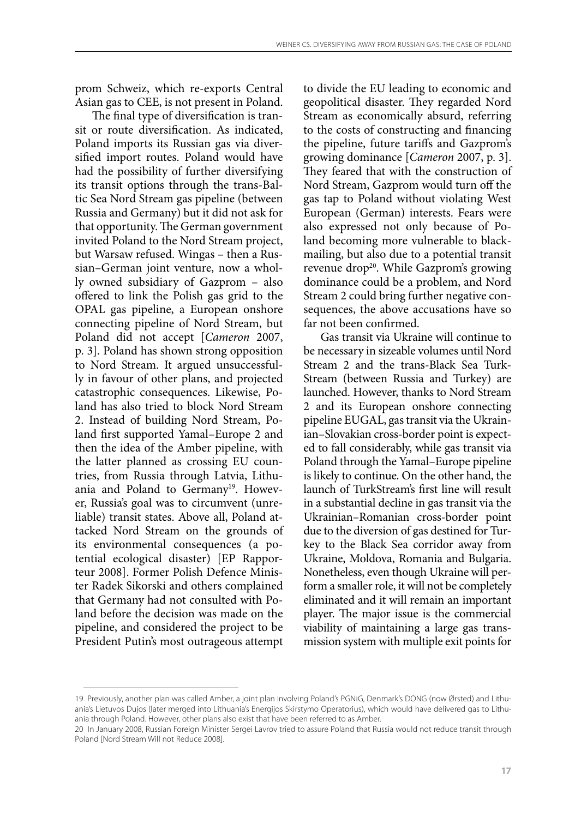prom Schweiz, which re-exports Central Asian gas to CEE, is not present in Poland.

The final type of diversification is transit or route diversification. As indicated, Poland imports its Russian gas via diversified import routes. Poland would have had the possibility of further diversifying its transit options through the trans-Baltic Sea Nord Stream gas pipeline (between Russia and Germany) but it did not ask for that opportunity. The German government invited Poland to the Nord Stream project, but Warsaw refused. Wingas – then a Russian–German joint venture, now a wholly owned subsidiary of Gazprom – also offered to link the Polish gas grid to the OPAL gas pipeline, a European onshore connecting pipeline of Nord Stream, but Poland did not accept [*Cameron* 2007, p. 3]. Poland has shown strong opposition to Nord Stream. It argued unsuccessfully in favour of other plans, and projected catastrophic consequences. Likewise, Poland has also tried to block Nord Stream 2. Instead of building Nord Stream, Poland first supported Yamal–Europe 2 and then the idea of the Amber pipeline, with the latter planned as crossing EU countries, from Russia through Latvia, Lithuania and Poland to Germany<sup>19</sup>. However, Russia's goal was to circumvent (unreliable) transit states. Above all, Poland attacked Nord Stream on the grounds of its environmental consequences (a potential ecological disaster) [EP Rapporteur 2008]. Former Polish Defence Minister Radek Sikorski and others complained that Germany had not consulted with Poland before the decision was made on the pipeline, and considered the project to be President Putin's most outrageous attempt to divide the EU leading to economic and geopolitical disaster. They regarded Nord Stream as economically absurd, referring to the costs of constructing and financing the pipeline, future tariffs and Gazprom's growing dominance [*Cameron* 2007, p. 3]. They feared that with the construction of Nord Stream, Gazprom would turn off the gas tap to Poland without violating West European (German) interests. Fears were also expressed not only because of Poland becoming more vulnerable to blackmailing, but also due to a potential transit revenue drop<sup>20</sup>. While Gazprom's growing dominance could be a problem, and Nord Stream 2 could bring further negative consequences, the above accusations have so far not been confirmed.

Gas transit via Ukraine will continue to be necessary in sizeable volumes until Nord Stream 2 and the trans-Black Sea Turk-Stream (between Russia and Turkey) are launched. However, thanks to Nord Stream 2 and its European onshore connecting pipeline EUGAL, gas transit via the Ukrainian–Slovakian cross-border point is expected to fall considerably, while gas transit via Poland through the Yamal–Europe pipeline is likely to continue. On the other hand, the launch of TurkStream's first line will result in a substantial decline in gas transit via the Ukrainian–Romanian cross-border point due to the diversion of gas destined for Turkey to the Black Sea corridor away from Ukraine, Moldova, Romania and Bulgaria. Nonetheless, even though Ukraine will perform a smaller role, it will not be completely eliminated and it will remain an important player. The major issue is the commercial viability of maintaining a large gas transmission system with multiple exit points for

<sup>19</sup> Previously, another plan was called Amber, a joint plan involving Poland's PGNiG, Denmark's DONG (now Ørsted) and Lithuania's Lietuvos Dujos (later merged into Lithuania's Energijos Skirstymo Operatorius), which would have delivered gas to Lithuania through Poland. However, other plans also exist that have been referred to as Amber.

<sup>20</sup> In January 2008, Russian Foreign Minister Sergei Lavrov tried to assure Poland that Russia would not reduce transit through Poland [Nord Stream Will not Reduce 2008].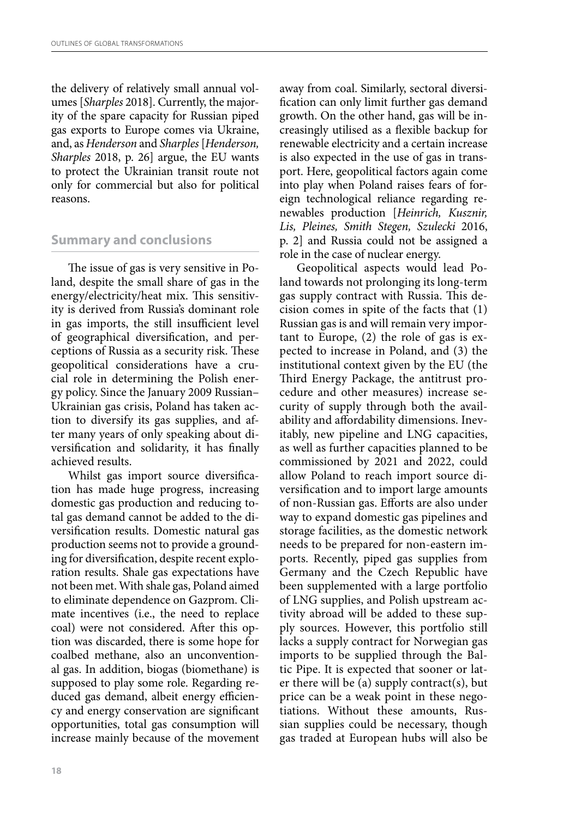the delivery of relatively small annual volumes [*Sharples* 2018]. Currently, the majority of the spare capacity for Russian piped gas exports to Europe comes via Ukraine, and, as *Henderson* and *Sharples* [*Henderson, Sharples* 2018, p. 26] argue, the EU wants to protect the Ukrainian transit route not only for commercial but also for political reasons.

## **Summary and conclusions**

The issue of gas is very sensitive in Poland, despite the small share of gas in the energy/electricity/heat mix. This sensitivity is derived from Russia's dominant role in gas imports, the still insufficient level of geographical diversification, and perceptions of Russia as a security risk. These geopolitical considerations have a crucial role in determining the Polish energy policy. Since the January 2009 Russian– Ukrainian gas crisis, Poland has taken action to diversify its gas supplies, and after many years of only speaking about diversification and solidarity, it has finally achieved results.

Whilst gas import source diversification has made huge progress, increasing domestic gas production and reducing total gas demand cannot be added to the diversification results. Domestic natural gas production seems not to provide a grounding for diversification, despite recent exploration results. Shale gas expectations have not been met. With shale gas, Poland aimed to eliminate dependence on Gazprom. Climate incentives (i.e., the need to replace coal) were not considered. After this option was discarded, there is some hope for coalbed methane, also an unconventional gas. In addition, biogas (biomethane) is supposed to play some role. Regarding reduced gas demand, albeit energy efficiency and energy conservation are significant opportunities, total gas consumption will increase mainly because of the movement

away from coal. Similarly, sectoral diversification can only limit further gas demand growth. On the other hand, gas will be increasingly utilised as a flexible backup for renewable electricity and a certain increase is also expected in the use of gas in transport. Here, geopolitical factors again come into play when Poland raises fears of foreign technological reliance regarding renewables production [*Heinrich, Kusznir, Lis, Pleines, Smith Stegen, Szulecki* 2016, p. 2] and Russia could not be assigned a role in the case of nuclear energy.

Geopolitical aspects would lead Poland towards not prolonging its long-term gas supply contract with Russia. This decision comes in spite of the facts that (1) Russian gas is and will remain very important to Europe, (2) the role of gas is expected to increase in Poland, and (3) the institutional context given by the EU (the Third Energy Package, the antitrust procedure and other measures) increase security of supply through both the availability and affordability dimensions. Inevitably, new pipeline and LNG capacities, as well as further capacities planned to be commissioned by 2021 and 2022, could allow Poland to reach import source diversification and to import large amounts of non-Russian gas. Efforts are also under way to expand domestic gas pipelines and storage facilities, as the domestic network needs to be prepared for non-eastern imports. Recently, piped gas supplies from Germany and the Czech Republic have been supplemented with a large portfolio of LNG supplies, and Polish upstream activity abroad will be added to these supply sources. However, this portfolio still lacks a supply contract for Norwegian gas imports to be supplied through the Baltic Pipe. It is expected that sooner or later there will be (a) supply contract(s), but price can be a weak point in these negotiations. Without these amounts, Russian supplies could be necessary, though gas traded at European hubs will also be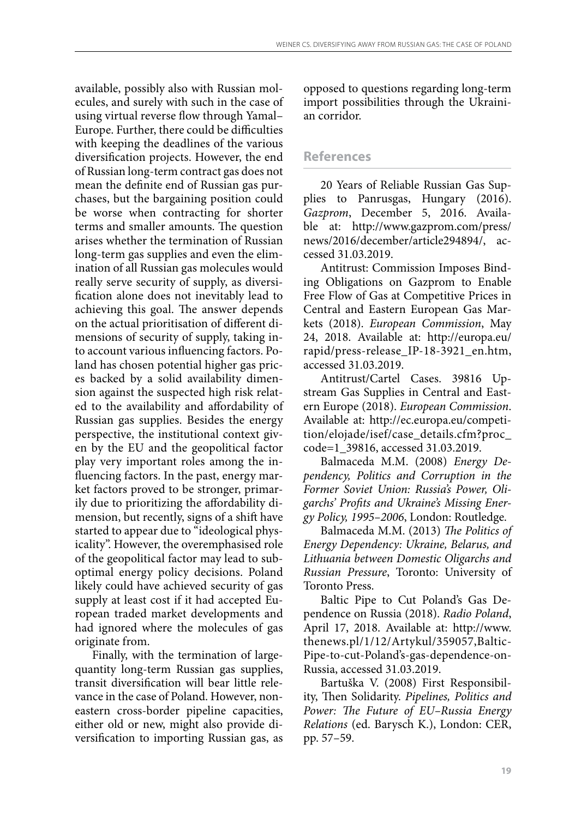available, possibly also with Russian molecules, and surely with such in the case of using virtual reverse flow through Yamal– Europe. Further, there could be difficulties with keeping the deadlines of the various diversification projects. However, the end of Russian long-term contract gas does not mean the definite end of Russian gas purchases, but the bargaining position could be worse when contracting for shorter terms and smaller amounts. The question arises whether the termination of Russian long-term gas supplies and even the elimination of all Russian gas molecules would really serve security of supply, as diversification alone does not inevitably lead to achieving this goal. The answer depends on the actual prioritisation of different dimensions of security of supply, taking into account various influencing factors. Poland has chosen potential higher gas prices backed by a solid availability dimension against the suspected high risk related to the availability and affordability of Russian gas supplies. Besides the energy perspective, the institutional context given by the EU and the geopolitical factor play very important roles among the influencing factors. In the past, energy market factors proved to be stronger, primarily due to prioritizing the affordability dimension, but recently, signs of a shift have started to appear due to "ideological physicality". However, the overemphasised role of the geopolitical factor may lead to suboptimal energy policy decisions. Poland likely could have achieved security of gas supply at least cost if it had accepted European traded market developments and had ignored where the molecules of gas originate from.

Finally, with the termination of largequantity long-term Russian gas supplies, transit diversification will bear little relevance in the case of Poland. However, noneastern cross-border pipeline capacities, either old or new, might also provide diversification to importing Russian gas, as opposed to questions regarding long-term import possibilities through the Ukrainian corridor.

#### **References**

20 Years of Reliable Russian Gas Supplies to Panrusgas, Hungary (2016). *Gazprom*, December 5, 2016. Available at: http://www.gazprom.com/press/ news/2016/december/article294894/, accessed 31.03.2019.

Antitrust: Commission Imposes Binding Obligations on Gazprom to Enable Free Flow of Gas at Competitive Prices in Central and Eastern European Gas Markets (2018). *European Commission*, May 24, 2018. Available at: http://europa.eu/ rapid/press-release\_IP-18-3921\_en.htm, accessed 31.03.2019.

Antitrust/Cartel Cases. 39816 Upstream Gas Supplies in Central and Eastern Europe (2018). *European Commission*. Available at: http://ec.europa.eu/competition/elojade/isef/case\_details.cfm?proc\_ code=1\_39816, accessed 31.03.2019.

Balmaceda M.M. (2008) *Energy Dependency, Politics and Corruption in the Former Soviet Union: Russia's Power, Oligarchs' Profits and Ukraine's Missing Energy Policy, 1995–2006*, London: Routledge.

Balmaceda M.M. (2013) *The Politics of Energy Dependency: Ukraine, Belarus, and Lithuania between Domestic Oligarchs and Russian Pressure*, Toronto: University of Toronto Press.

Baltic Pipe to Cut Poland's Gas Dependence on Russia (2018). *Radio Poland*, April 17, 2018. Available at: http://www. thenews.pl/1/12/Artykul/359057,Baltic-Pipe-to-cut-Poland's-gas-dependence-on-Russia, accessed 31.03.2019.

Bartuška V. (2008) First Responsibility, Then Solidarity. *Pipelines, Politics and Power: The Future of EU–Russia Energy Relations* (ed. Barysch K.), London: CER, pp. 57–59.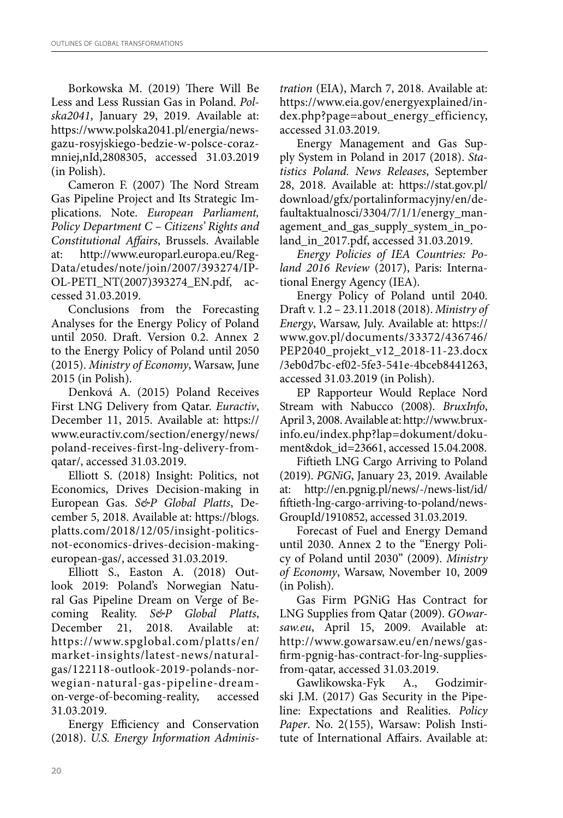Borkowska M. (2019) There Will Be Less and Less Russian Gas in Poland. *Polska2041*, January 29, 2019. Available at: https://www.polska2041.pl/energia/newsgazu-rosyjskiego-bedzie-w-polsce-corazmniej,nId,2808305, accessed 31.03.2019 (in Polish).

Cameron F. (2007) The Nord Stream Gas Pipeline Project and Its Strategic Implications. Note. *European Parliament, Policy Department C – Citizens' Rights and Constitutional Affairs*, Brussels. Available at: http://www.europarl.europa.eu/Reg-Data/etudes/note/join/2007/393274/IP-OL-PETI\_NT(2007)393274\_EN.pdf, accessed 31.03.2019.

Conclusions from the Forecasting Analyses for the Energy Policy of Poland until 2050. Draft. Version 0.2. Annex 2 to the Energy Policy of Poland until 2050 (2015). *Ministry of Economy*, Warsaw, June 2015 (in Polish).

Denková A. (2015) Poland Receives First LNG Delivery from Qatar. *Euractiv*, December 11, 2015. Available at: https:// www.euractiv.com/section/energy/news/ poland-receives-first-lng-delivery-fromqatar/, accessed 31.03.2019.

Elliott S. (2018) Insight: Politics, not Economics, Drives Decision-making in European Gas. *S&P Global Platts*, December 5, 2018. Available at: https://blogs. platts.com/2018/12/05/insight-politicsnot-economics-drives-decision-makingeuropean-gas/, accessed 31.03.2019.

Elliott S., Easton A. (2018) Outlook 2019: Poland's Norwegian Natural Gas Pipeline Dream on Verge of Becoming Reality. *S&P Global Platts*, December 21, 2018. Available at: https://www.spglobal.com/platts/en/ market-insights/latest-news/naturalgas/122118-outlook-2019-polands-norwegian-natural-gas-pipeline-dreamon-verge-of-becoming-reality, accessed 31.03.2019.

Energy Efficiency and Conservation (2018). *U.S. Energy Information Adminis-* *tration* (EIA), March 7, 2018. Available at: https://www.eia.gov/energyexplained/index.php?page=about\_energy\_efficiency, accessed 31.03.2019.

Energy Management and Gas Supply System in Poland in 2017 (2018). *Statistics Poland. News Releases*, September 28, 2018. Available at: https://stat.gov.pl/ download/gfx/portalinformacyjny/en/defaultaktualnosci/3304/7/1/1/energy\_management\_and\_gas\_supply\_system\_in\_poland\_in\_2017.pdf, accessed 31.03.2019.

*Energy Policies of IEA Countries: Poland 2016 Review* (2017), Paris: International Energy Agency (IEA).

Energy Policy of Poland until 2040. Draft v. 1.2 – 23.11.2018 (2018). *Ministry of Energy*, Warsaw, July. Available at: https:// www.gov.pl/documents/33372/436746/ PEP2040\_projekt\_v12\_2018-11-23.docx /3eb0d7bc-ef02-5fe3-541e-4bceb8441263, accessed 31.03.2019 (in Polish).

EP Rapporteur Would Replace Nord Stream with Nabucco (2008). *BruxInfo*, April 3, 2008. Available at: http://www.bruxinfo.eu/index.php?lap=dokument/dokument&dok\_id=23661, accessed 15.04.2008.

Fiftieth LNG Cargo Arriving to Poland (2019). *PGNiG*, January 23, 2019. Available at: http://en.pgnig.pl/news/-/news-list/id/ fiftieth-lng-cargo-arriving-to-poland/news-GroupId/1910852, accessed 31.03.2019.

Forecast of Fuel and Energy Demand until 2030. Annex 2 to the "Energy Policy of Poland until 2030" (2009). *Ministry of Economy*, Warsaw, November 10, 2009 (in Polish).

Gas Firm PGNiG Has Contract for LNG Supplies from Qatar (2009). *GOwarsaw.eu*, April 15, 2009. Available at: http://www.gowarsaw.eu/en/news/gasfirm-pgnig-has-contract-for-lng-suppliesfrom-qatar, accessed 31.03.2019.

Gawlikowska-Fyk A., Godzimirski J.M. (2017) Gas Security in the Pipeline: Expectations and Realities. *Policy Paper*. No. 2(155), Warsaw: Polish Institute of International Affairs. Available at: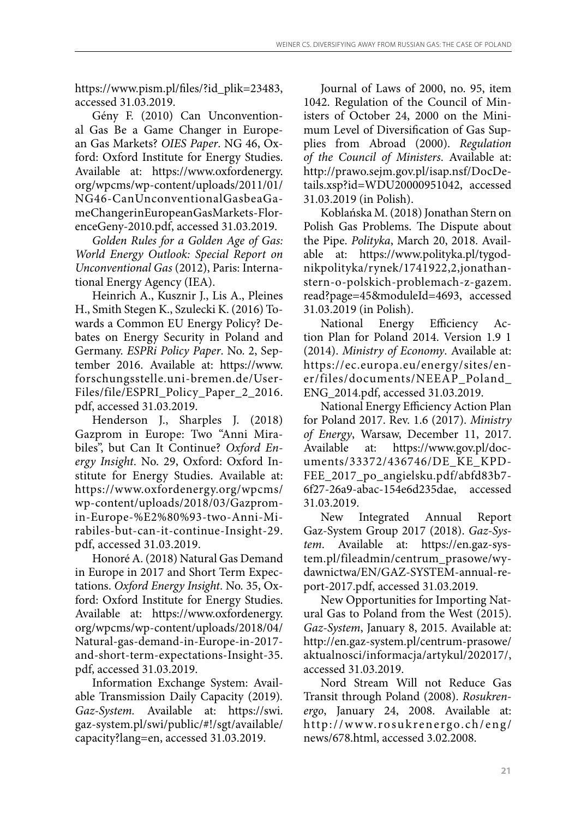https://www.pism.pl/files/?id\_plik=23483, accessed 31.03.2019.

Gény F. (2010) Can Unconventional Gas Be a Game Changer in European Gas Markets? *OIES Paper*. NG 46, Oxford: Oxford Institute for Energy Studies. Available at: https://www.oxfordenergy. org/wpcms/wp-content/uploads/2011/01/ NG46-CanUnconventionalGasbeaGameChangerinEuropeanGasMarkets-FlorenceGeny-2010.pdf, accessed 31.03.2019.

*Golden Rules for a Golden Age of Gas: World Energy Outlook: Special Report on Unconventional Gas* (2012), Paris: International Energy Agency (IEA).

Heinrich A., Kusznir J., Lis A., Pleines H., Smith Stegen K., Szulecki K. (2016) Towards a Common EU Energy Policy? Debates on Energy Security in Poland and Germany. *ESPRi Policy Paper*. No. 2, September 2016. Available at: https://www. forschungsstelle.uni-bremen.de/User-Files/file/ESPRI\_Policy\_Paper\_2\_2016. pdf, accessed 31.03.2019.

Henderson J., Sharples J. (2018) Gazprom in Europe: Two "Anni Mirabiles", but Can It Continue? *Oxford Energy Insight*. No. 29, Oxford: Oxford Institute for Energy Studies. Available at: https://www.oxfordenergy.org/wpcms/ wp-content/uploads/2018/03/Gazpromin-Europe-%E2%80%93-two-Anni-Mirabiles-but-can-it-continue-Insight-29. pdf, accessed 31.03.2019.

Honoré A. (2018) Natural Gas Demand in Europe in 2017 and Short Term Expectations. *Oxford Energy Insight*. No. 35, Oxford: Oxford Institute for Energy Studies. Available at: https://www.oxfordenergy. org/wpcms/wp-content/uploads/2018/04/ Natural-gas-demand-in-Europe-in-2017 and-short-term-expectations-Insight-35. pdf, accessed 31.03.2019.

Information Exchange System: Available Transmission Daily Capacity (2019)*. Gaz-System.* Available at: https://swi. gaz-system.pl/swi/public/#!/sgt/available/ capacity?lang=en, accessed 31.03.2019.

Journal of Laws of 2000, no. 95, item 1042. Regulation of the Council of Ministers of October 24, 2000 on the Minimum Level of Diversification of Gas Supplies from Abroad (2000). *Regulation of the Council of Ministers*. Available at: http://prawo.sejm.gov.pl/isap.nsf/DocDetails.xsp?id=WDU20000951042, accessed 31.03.2019 (in Polish).

Koblańska M. (2018) Jonathan Stern on Polish Gas Problems. The Dispute about the Pipe. *Polityka*, March 20, 2018. Available at: https://www.polityka.pl/tygodnikpolityka/rynek/1741922,2,jonathanstern-o-polskich-problemach-z-gazem. read?page=45&moduleId=4693, accessed 31.03.2019 (in Polish).

National Energy Efficiency Action Plan for Poland 2014. Version 1.9 1 (2014). *Ministry of Economy*. Available at: https://ec.europa.eu/energy/sites/ener/files/documents/NEEAP\_Poland\_ ENG\_2014.pdf, accessed 31.03.2019.

National Energy Efficiency Action Plan for Poland 2017. Rev. 1.6 (2017). *Ministry of Energy*, Warsaw, December 11, 2017. Available at: https://www.gov.pl/documents/33372/436746/DE\_KE\_KPD-FEE\_2017\_po\_angielsku.pdf/abfd83b7- 6f27-26a9-abac-154e6d235dae, accessed 31.03.2019.

New Integrated Annual Report Gaz-System Group 2017 (2018). *Gaz-System*. Available at: https://en.gaz-system.pl/fileadmin/centrum\_prasowe/wydawnictwa/EN/GAZ-SYSTEM-annual-report-2017.pdf, accessed 31.03.2019.

New Opportunities for Importing Natural Gas to Poland from the West (2015). *Gaz-System*, January 8, 2015. Available at: http://en.gaz-system.pl/centrum-prasowe/ aktualnosci/informacja/artykul/202017/, accessed 31.03.2019.

Nord Stream Will not Reduce Gas Transit through Poland (2008). *Rosukrenergo*, January 24, 2008. Available at: http://www.rosukrenergo.ch/eng/ news/678.html, accessed 3.02.2008.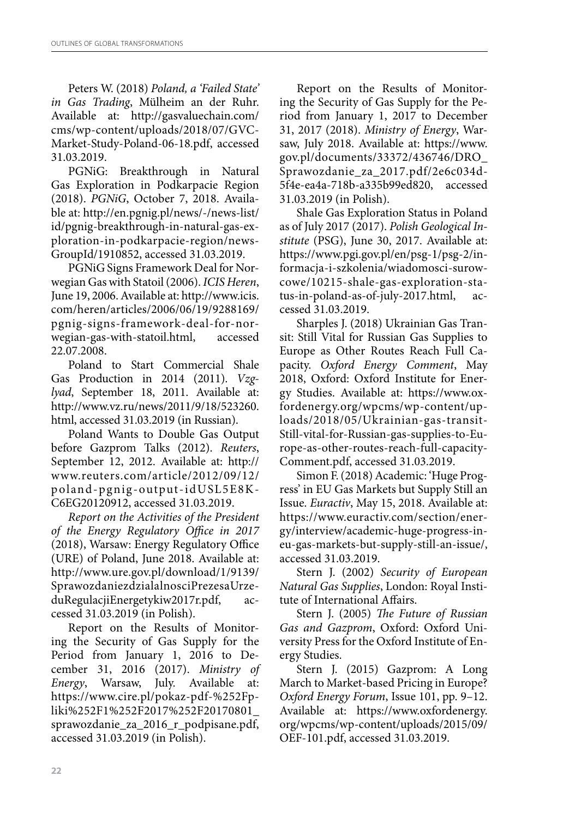Peters W. (2018) *Poland, a 'Failed State' in Gas Trading*, Mülheim an der Ruhr. Available at: http://gasvaluechain.com/ cms/wp-content/uploads/2018/07/GVC-Market-Study-Poland-06-18.pdf, accessed 31.03.2019.

PGNiG: Breakthrough in Natural Gas Exploration in Podkarpacie Region (2018). *PGNiG*, October 7, 2018. Available at: http://en.pgnig.pl/news/-/news-list/ id/pgnig-breakthrough-in-natural-gas-exploration-in-podkarpacie-region/news-GroupId/1910852, accessed 31.03.2019.

PGNiG Signs Framework Deal for Norwegian Gas with Statoil (2006). *ICIS Heren*, June 19, 2006. Available at: http://www.icis. com/heren/articles/2006/06/19/9288169/ pgnig-signs-framework-deal-for-norwegian-gas-with-statoil.html, accessed 22.07.2008.

Poland to Start Commercial Shale Gas Production in 2014 (2011). *Vzglyad*, September 18, 2011. Available at: http://www.vz.ru/news/2011/9/18/523260. html, accessed 31.03.2019 (in Russian).

Poland Wants to Double Gas Output before Gazprom Talks (2012). *Reuters*, September 12, 2012. Available at: http:// www.reuters.com/article/2012/09/12/ poland-pgnig-output-idUSL5E8K-C6EG20120912, accessed 31.03.2019.

*Report on the Activities of the President of the Energy Regulatory Office in 2017*  (2018), Warsaw: Energy Regulatory Office (URE) of Poland, June 2018. Available at: http://www.ure.gov.pl/download/1/9139/ SprawozdaniezdzialalnosciPrezesaUrzeduRegulacjiEnergetykiw2017r.pdf, accessed 31.03.2019 (in Polish).

Report on the Results of Monitoring the Security of Gas Supply for the Period from January 1, 2016 to December 31, 2016 (2017). *Ministry of Energy*, Warsaw, July. Available at: https://www.cire.pl/pokaz-pdf-%252Fpliki%252F1%252F2017%252F20170801\_ sprawozdanie\_za\_2016\_r\_podpisane.pdf, accessed 31.03.2019 (in Polish).

Report on the Results of Monitoring the Security of Gas Supply for the Period from January 1, 2017 to December 31, 2017 (2018). *Ministry of Energy*, Warsaw, July 2018. Available at: https://www. gov.pl/documents/33372/436746/DRO\_ Sprawozdanie\_za\_2017.pdf/2e6c034d-5f4e-ea4a-718b-a335b99ed820, accessed 31.03.2019 (in Polish).

Shale Gas Exploration Status in Poland as of July 2017 (2017). *Polish Geological Institute* (PSG), June 30, 2017. Available at: https://www.pgi.gov.pl/en/psg-1/psg-2/informacja-i-szkolenia/wiadomosci-surowcowe/10215-shale-gas-exploration-status-in-poland-as-of-july-2017.html, cessed 31.03.2019.

Sharples J. (2018) Ukrainian Gas Transit: Still Vital for Russian Gas Supplies to Europe as Other Routes Reach Full Capacity. *Oxford Energy Comment*, May 2018, Oxford: Oxford Institute for Energy Studies. Available at: https://www.oxfordenergy.org/wpcms/wp-content/uploads/2018/05/Ukrainian-gas-transit-Still-vital-for-Russian-gas-supplies-to-Europe-as-other-routes-reach-full-capacity-Comment.pdf, accessed 31.03.2019.

Simon F. (2018) Academic: 'Huge Progress' in EU Gas Markets but Supply Still an Issue. *Euractiv*, May 15, 2018. Available at: https://www.euractiv.com/section/energy/interview/academic-huge-progress-ineu-gas-markets-but-supply-still-an-issue/, accessed 31.03.2019.

Stern J. (2002) *Security of European Natural Gas Supplies*, London: Royal Institute of International Affairs.

Stern J. (2005) *The Future of Russian Gas and Gazprom*, Oxford: Oxford University Press for the Oxford Institute of Energy Studies.

Stern J. (2015) Gazprom: A Long March to Market-based Pricing in Europe? *Oxford Energy Forum*, Issue 101, pp. 9–12. Available at: https://www.oxfordenergy. org/wpcms/wp-content/uploads/2015/09/ OEF-101.pdf, accessed 31.03.2019.